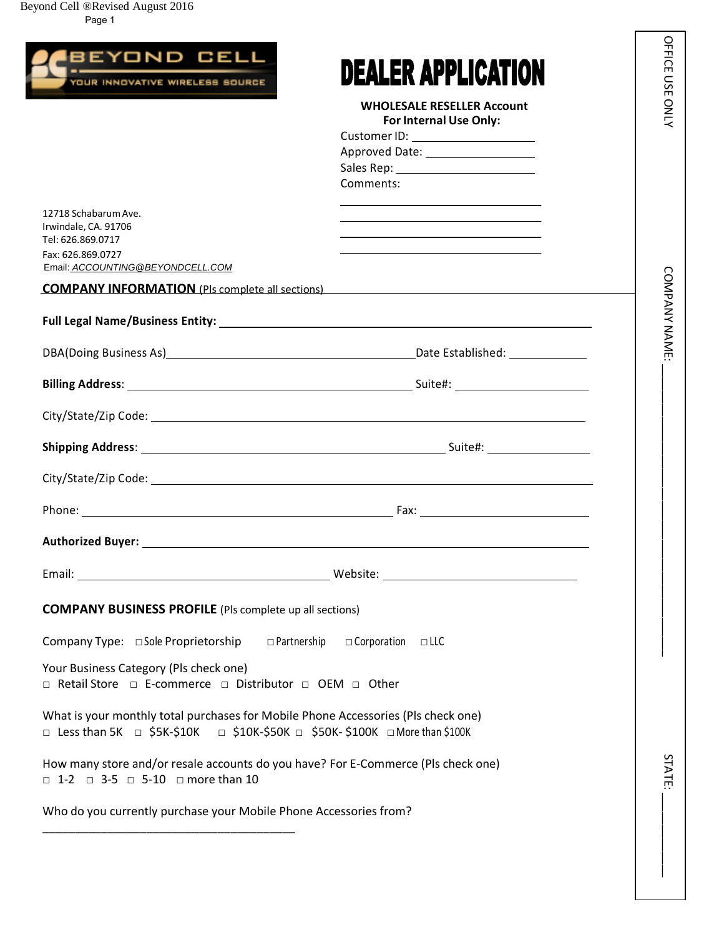Beyond Cell ®Revised August 2016



 $\overline{\phantom{a}}$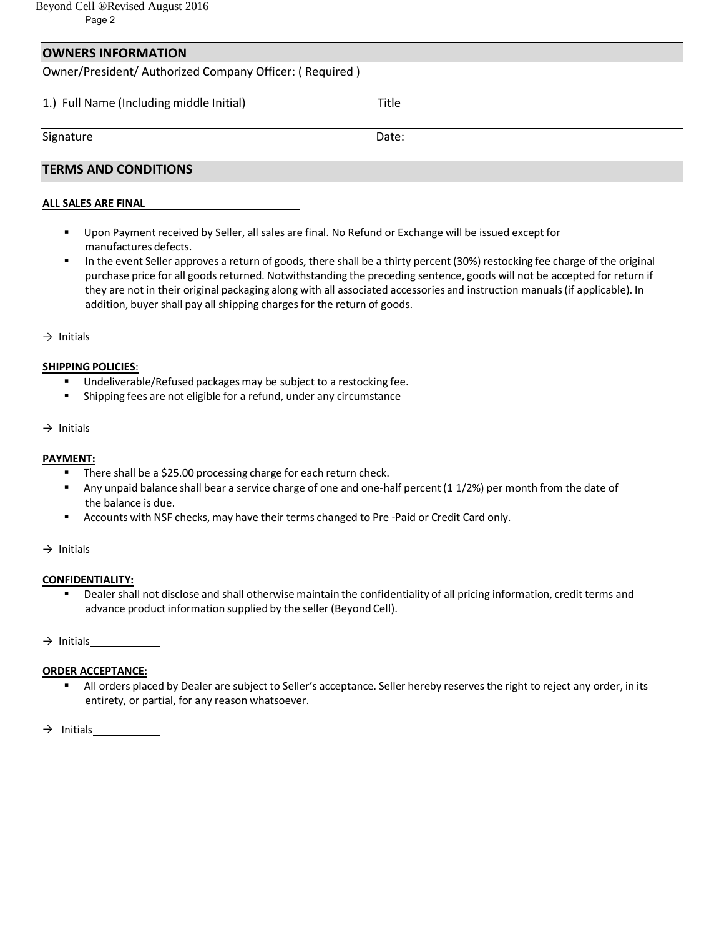### **OWNERS INFORMATION**

Owner/President/ Authorized Company Officer: ( Required )

1.) Full Name (Including middle Initial) Title

Signature Date:

## **TERMS AND CONDITIONS**

#### **ALL SALES ARE FINAL**

- Upon Payment received by Seller, all sales are final. No Refund or Exchange will be issued except for manufactures defects.
- In the event Seller approves a return of goods, there shall be a thirty percent (30%) restocking fee charge of the original purchase price for all goods returned. Notwithstanding the preceding sentence, goods will not be accepted for return if they are not in their original packaging along with all associated accessories and instruction manuals (if applicable). In addition, buyer shall pay all shipping charges for the return of goods.

 $\rightarrow$  Initials

#### **SHIPPING POLICIES**:

- Undeliverable/Refused packages may be subject to a restocking fee.
- Shipping fees are not eligible for a refund, under any circumstance

#### $\rightarrow$  Initials

#### **PAYMENT:**

- **There shall be a \$25.00 processing charge for each return check.**
- Any unpaid balance shall bear a service charge of one and one-half percent (1 1/2%) per month from the date of the balance is due.
- Accounts with NSF checks, may have their terms changed to Pre -Paid or Credit Card only.

#### $\rightarrow$  Initials

#### **CONFIDENTIALITY:**

 Dealer shall not disclose and shall otherwise maintain the confidentiality of all pricing information, credit terms and advance product information supplied by the seller (Beyond Cell).

 $\rightarrow$  Initials

#### **ORDER ACCEPTANCE:**

 All orders placed by Dealer are subject to Seller's acceptance. Seller hereby reserves the right to reject any order, in its entirety, or partial, for any reason whatsoever.

 $\rightarrow$  Initials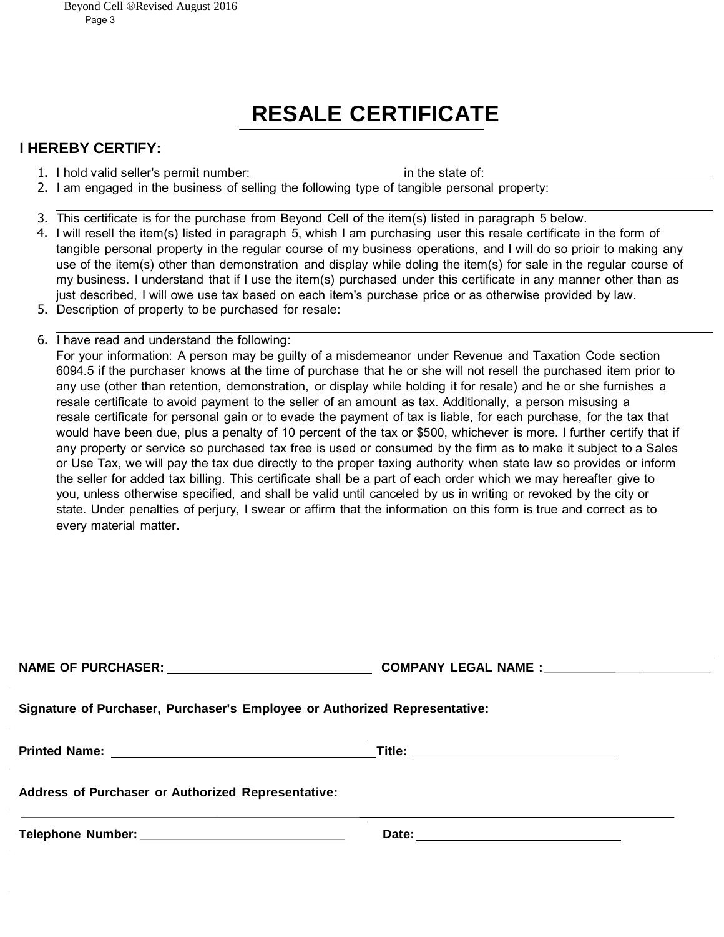# **RESALE CERTIFICATE**

# **I HEREBY CERTIFY:**

- 1. I hold valid seller's permit number: in the state of:
- 2. I am engaged in the business of selling the following type of tangible personal property:
- 3. This certificate is for the purchase from Beyond Cell of the item(s) listed in paragraph 5 below.
- 4. I will resell the item(s) listed in paragraph 5, whish I am purchasing user this resale certificate in the form of tangible personal property in the regular course of my business operations, and I will do so prioir to making any use of the item(s) other than demonstration and display while doling the item(s) for sale in the regular course of my business. I understand that if I use the item(s) purchased under this certificate in any manner other than as just described, I will owe use tax based on each item's purchase price or as otherwise provided by law.
- 5. Description of property to be purchased for resale:
- 6. I have read and understand the following: For your information: A person may be guilty of a misdemeanor under Revenue and Taxation Code section 6094.5 if the purchaser knows at the time of purchase that he or she will not resell the purchased item prior to any use (other than retention, demonstration, or display while holding it for resale) and he or she furnishes a resale certificate to avoid payment to the seller of an amount as tax. Additionally, a person misusing a resale certificate for personal gain or to evade the payment of tax is liable, for each purchase, for the tax that would have been due, plus a penalty of 10 percent of the tax or \$500, whichever is more. I further certify that if any property or service so purchased tax free is used or consumed by the firm as to make it subject to a Sales or Use Tax, we will pay the tax due directly to the proper taxing authority when state law so provides or inform the seller for added tax billing. This certificate shall be a part of each order which we may hereafter give to you, unless otherwise specified, and shall be valid until canceled by us in writing or revoked by the city or state. Under penalties of perjury, I swear or affirm that the information on this form is true and correct as to every material matter.

| INAIME OF FUNCHASEN.                                                       | <u>UUMEANI LEUAL NAME.__________________________</u> |  |  |
|----------------------------------------------------------------------------|------------------------------------------------------|--|--|
| Signature of Purchaser, Purchaser's Employee or Authorized Representative: |                                                      |  |  |
|                                                                            |                                                      |  |  |
| Address of Purchaser or Authorized Representative:                         |                                                      |  |  |
|                                                                            |                                                      |  |  |

**NAME OF PURCHASER: COMPANY LEGAL NAME :**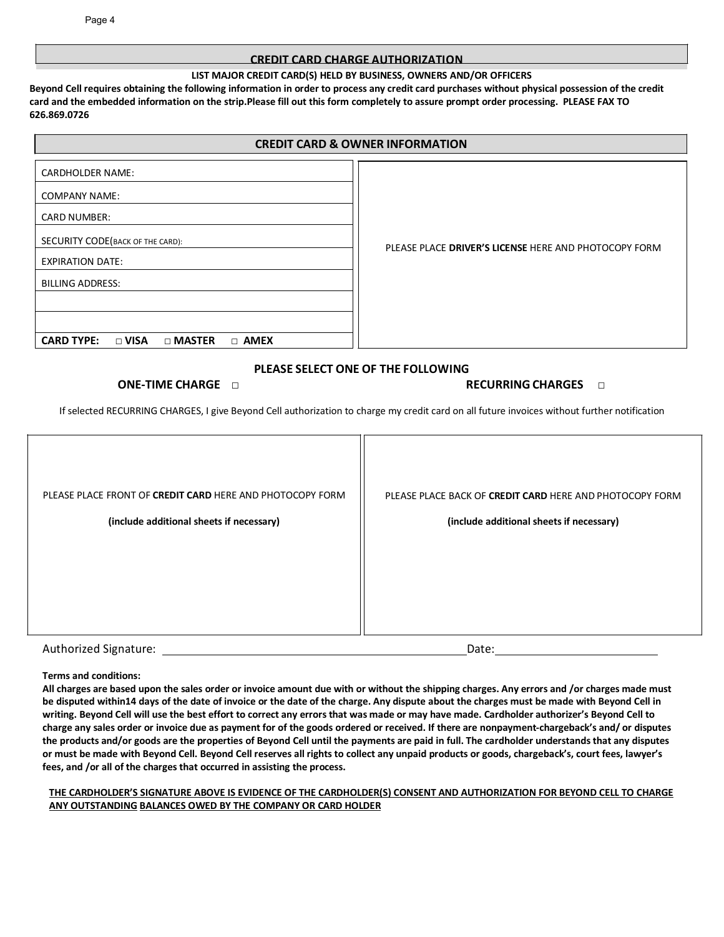#### **CREDIT CARD CHARGE AUTHORIZATION**

#### **LIST MAJOR CREDIT CARD(S) HELD BY BUSINESS, OWNERS AND/OR OFFICERS**

**Beyond Cell requires obtaining the following information in order to process any credit card purchases without physical possession of the credit card and the embedded information on the strip.Please fill out this form completely to assure prompt order processing. PLEASE FAX TO 626.869.0726**

#### **CREDIT CARD & OWNER INFORMATION**

| <b>CARDHOLDER NAME:</b>                                          |                                                       |
|------------------------------------------------------------------|-------------------------------------------------------|
| <b>COMPANY NAME:</b>                                             |                                                       |
| <b>CARD NUMBER:</b>                                              |                                                       |
| SECURITY CODE (BACK OF THE CARD):                                | PLEASE PLACE DRIVER'S LICENSE HERE AND PHOTOCOPY FORM |
| <b>EXPIRATION DATE:</b>                                          |                                                       |
| <b>BILLING ADDRESS:</b>                                          |                                                       |
|                                                                  |                                                       |
| <b>CARD TYPE:</b><br>$\Box$ VISA<br>$\Box$ MASTER<br>$\Box$ AMEX |                                                       |

#### **PLEASE SELECT ONE OF THE FOLLOWING**

#### **ONE‐TIME CHARGE □ RECURRING CHARGES □**

If selected RECURRING CHARGES, I give Beyond Cell authorization to charge my credit card on all future invoices without further notification

| PLEASE PLACE FRONT OF CREDIT CARD HERE AND PHOTOCOPY FORM<br>(include additional sheets if necessary) | PLEASE PLACE BACK OF CREDIT CARD HERE AND PHOTOCOPY FORM<br>(include additional sheets if necessary) |
|-------------------------------------------------------------------------------------------------------|------------------------------------------------------------------------------------------------------|
| Authorized Signature:                                                                                 | Date:                                                                                                |

#### **Terms and conditions:**

**All charges are based upon the sales order or invoice amount due with or without the shipping charges. Any errors and /or charges made must be disputed within14 days of the date of invoice or the date of the charge. Any dispute about the charges must be made with Beyond Cell in writing. Beyond Cell will use the best effort to correct any errors that was made or may have made. Cardholder authorizer's Beyond Cell to charge any sales order or invoice due as payment for of the goods ordered or received. If there are nonpayment‐chargeback's and/ or disputes the products and/or goods are the properties of Beyond Cell until the payments are paid in full. The cardholder understands that any disputes or must be made with Beyond Cell. Beyond Cell reserves all rights to collect any unpaid products or goods, chargeback's, court fees, lawyer's fees, and /or all of the charges that occurred in assisting the process.**

#### THE CARDHOLDER'S SIGNATURE ABOVE IS EVIDENCE OF THE CARDHOLDER(S) CONSENT AND AUTHORIZATION FOR BEYOND CELL TO CHARGE **ANY OUTSTANDING BALANCES OWED BY THE COMPANY OR CARD HOLDER**